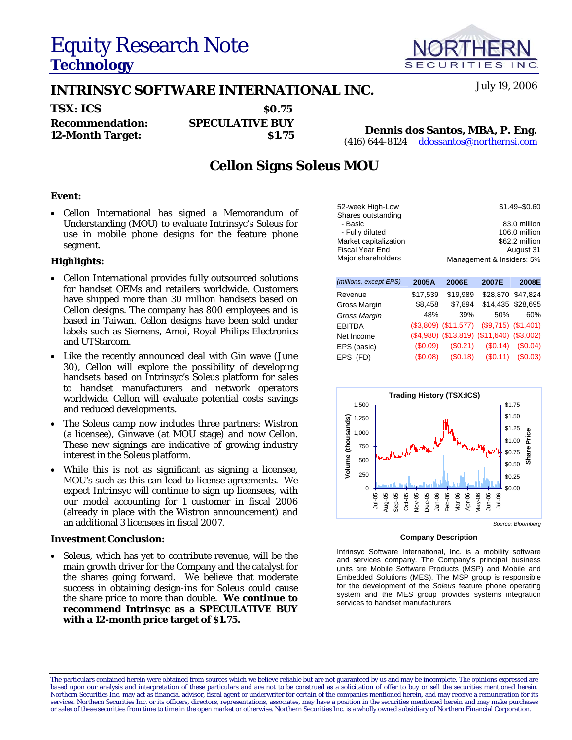# Equity Research Note **Technology**

## **INTRINSYC SOFTWARE INTERNATIONAL INC.** July 19, 2006

| <b>TSX: ICS</b>         | <b>SO.75</b>           |                   |
|-------------------------|------------------------|-------------------|
| <b>Recommendation:</b>  | <b>SPECULATIVE BUY</b> | <b>Dennis</b>     |
| <b>12-Month Target:</b> | <b>S1.75</b>           | $(416) 644 - 812$ |

### **12-Month Target: \$1.75 Dennis dos Santos, MBA, P. Eng.** (416) 644-8124 ddossantos@northernsi.com

### **Cellon Signs** *Soleus* **MOU**

#### **Event:**

• Cellon International has signed a Memorandum of Understanding (MOU) to evaluate Intrinsyc's *Soleus* for use in mobile phone designs for the feature phone segment.

#### **Highlights:**

- Cellon International provides fully outsourced solutions for handset OEMs and retailers worldwide. Customers have shipped more than 30 million handsets based on Cellon designs. The company has 800 employees and is based in Taiwan. Cellon designs have been sold under labels such as Siemens, Amoi, Royal Philips Electronics and UTStarcom.
- Like the recently announced deal with Gin wave (June 30), Cellon will explore the possibility of developing handsets based on Intrinsyc's *Soleus* platform for sales to handset manufacturers and network operators worldwide. Cellon will evaluate potential costs savings and reduced developments.
- The *Soleus* camp now includes three partners: Wistron (a licensee), Ginwave (at MOU stage) and now Cellon. These new signings are indicative of growing industry interest in the *Soleus* platform.
- While this is not as significant as signing a licensee, MOU's such as this can lead to license agreements. We expect Intrinsyc will continue to sign up licensees, with our model accounting for 1 customer in fiscal 2006 (already in place with the Wistron announcement) and an additional 3 licensees in fiscal 2007.

#### **Investment Conclusion:**

• *Soleus*, which has yet to contribute revenue, will be the main growth driver for the Company and the catalyst for the shares going forward. We believe that moderate success in obtaining design-ins for *Soleus* could cause the share price to more than double. **We continue to recommend Intrinsyc as a SPECULATIVE BUY with a 12-month price target of \$1.75.**

| (millions, except EPS) | 2005A       | 2006E                  | 2007E                                     | 2008E                 |
|------------------------|-------------|------------------------|-------------------------------------------|-----------------------|
| Revenue                | \$17,539    | \$19,989               |                                           | \$28,870 \$47,824     |
| Gross Margin           | \$8,458     | \$7,894                |                                           | \$14,435 \$28,695     |
| Gross Margin           | 48%         | 39%                    | 50%                                       | 60%                   |
| <b>EBITDA</b>          |             | $($3,809)$ $($11,577)$ |                                           | $($9,715)$ $($1,401)$ |
| Net Income             |             |                        | (\$4,980) (\$13,819) (\$11,640) (\$3,002) |                       |
| EPS (basic)            | (S0.09)     | (\$0.21)               | (S0.14)                                   | (S0.04)               |
| EPS (FD)               | $($ \$0.08) | (S0.18)                | (\$0.11)                                  | (S0.03)               |



#### **Company Description**

Intrinsyc Software International, Inc. is a mobility software and services company. The Company's principal business units are Mobile Software Products (MSP) and Mobile and Embedded Solutions (MES). The MSP group is responsible for the development of the *Soleus* feature phone operating system and the MES group provides systems integration services to handset manufacturers



The particulars contained herein were obtained from sources which we believe reliable but are not guaranteed by us and may be incomplete. The opinions expressed are based upon our analysis and interpretation of these particulars and are not to be construed as a solicitation of offer to buy or sell the securities mentioned herein.<br>Northern Securities Inc. may act as financial advisor, services. Northern Securities Inc. or its officers, directors, representations, associates, may have a position in the securities mentioned herein and may make purchases or sales of these securities from time to time in the open market or otherwise. Northern Securities Inc. is a wholly owned subsidiary of Northern Financial Corporation.